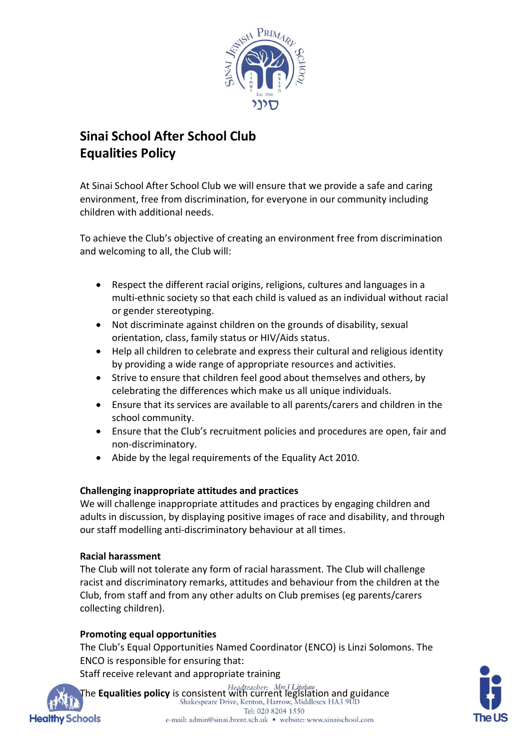

# **Sinai School After School Club Equalities Policy**

At Sinai School After School Club we will ensure that we provide a safe and caring environment, free from discrimination, for everyone in our community including children with additional needs.

To achieve the Club's objective of creating an environment free from discrimination and welcoming to all, the Club will:

- Respect the different racial origins, religions, cultures and languages in a multi-ethnic society so that each child is valued as an individual without racial or gender stereotyping.
- Not discriminate against children on the grounds of disability, sexual orientation, class, family status or HIV/Aids status.
- Help all children to celebrate and express their cultural and religious identity by providing a wide range of appropriate resources and activities.
- Strive to ensure that children feel good about themselves and others, by celebrating the differences which make us all unique individuals.
- Ensure that its services are available to all parents/carers and children in the school community.
- Ensure that the Club's recruitment policies and procedures are open, fair and non-discriminatory.
- Abide by the legal requirements of the Equality Act 2010.

## **Challenging inappropriate attitudes and practices**

We will challenge inappropriate attitudes and practices by engaging children and adults in discussion, by displaying positive images of race and disability, and through our staff modelling anti-discriminatory behaviour at all times.

## **Racial harassment**

The Club will not tolerate any form of racial harassment. The Club will challenge racist and discriminatory remarks, attitudes and behaviour from the children at the Club, from staff and from any other adults on Club premises (eg parents/carers collecting children).

## **Promoting equal opportunities**

The Club's Equal Opportunities Named Coordinator (ENCO) is Linzi Solomons. The ENCO is responsible for ensuring that:

Staff receive relevant and appropriate training



The **Equalities policy** is consistent with current legislation and guidance Tel: 020 8204 1550 e-mail: admin@sinai.brent.sch.uk · website: www.sinaischool.com